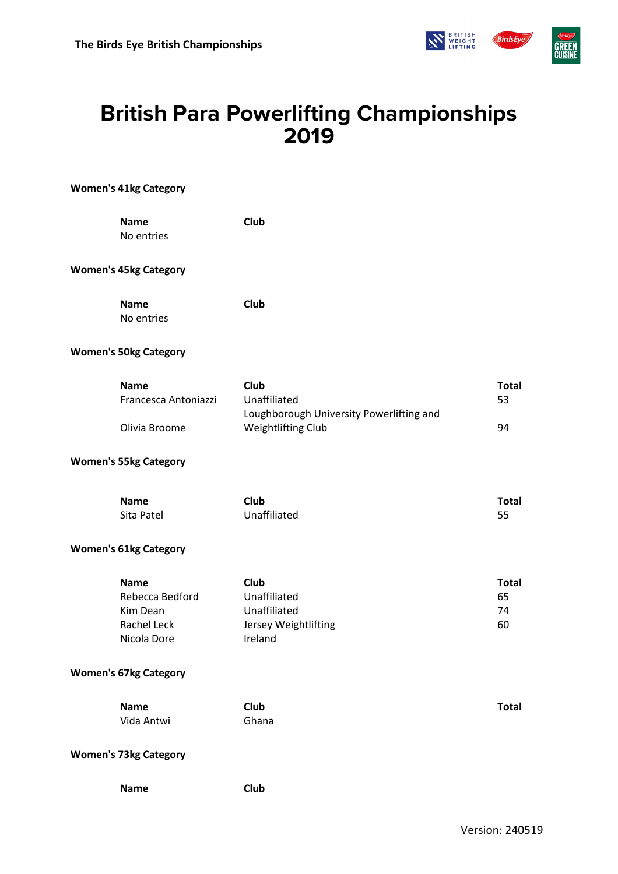**Women's 41kg Category**



## **British Para Powerlifting Championships 2019**

| <b>Name</b><br>No entries                                                | Club                                                                                          |                                |
|--------------------------------------------------------------------------|-----------------------------------------------------------------------------------------------|--------------------------------|
| <b>Women's 45kg Category</b>                                             |                                                                                               |                                |
| <b>Name</b><br>No entries                                                | Club                                                                                          |                                |
| <b>Women's 50kg Category</b>                                             |                                                                                               |                                |
| <b>Name</b><br>Francesca Antoniazzi<br>Olivia Broome                     | <b>Club</b><br>Unaffiliated<br>Loughborough University Powerlifting and<br>Weightlifting Club | <b>Total</b><br>53<br>94       |
| <b>Women's 55kg Category</b>                                             |                                                                                               |                                |
| <b>Name</b><br>Sita Patel                                                | <b>Club</b><br>Unaffiliated                                                                   | <b>Total</b><br>55             |
| <b>Women's 61kg Category</b>                                             |                                                                                               |                                |
| <b>Name</b><br>Rebecca Bedford<br>Kim Dean<br>Rachel Leck<br>Nicola Dore | Club<br>Unaffiliated<br>Unaffiliated<br>Jersey Weightlifting<br>Ireland                       | <b>Total</b><br>65<br>74<br>60 |
| <b>Women's 67kg Category</b>                                             |                                                                                               |                                |
| <b>Name</b><br>Vida Antwi                                                | <b>Club</b><br>Ghana                                                                          | <b>Total</b>                   |
| <b>Women's 73kg Category</b>                                             |                                                                                               |                                |
| <b>Name</b>                                                              | <b>Club</b>                                                                                   |                                |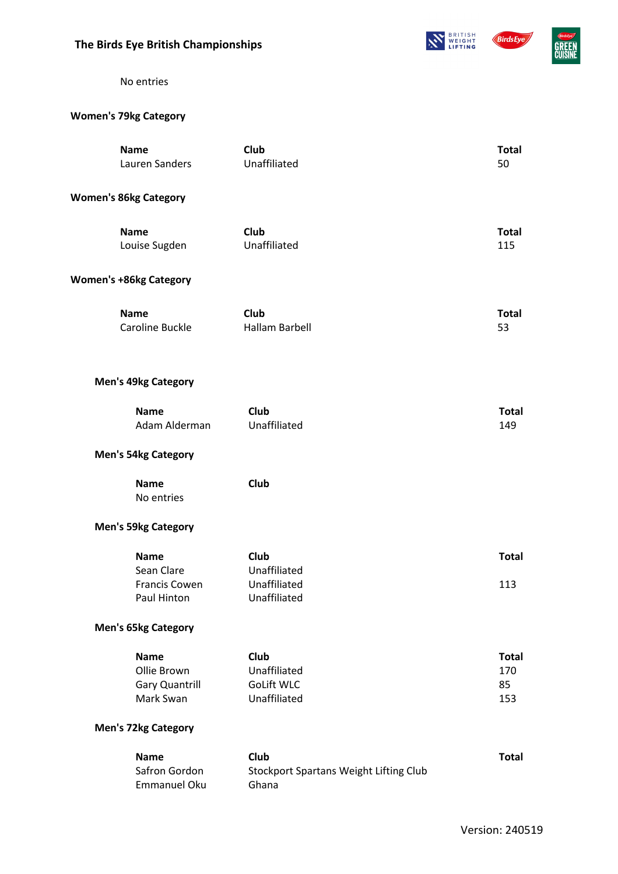

## No entries

## **Women's 79kg Category**

| <b>Name</b><br>Lauren Sanders                                    | Club<br>Unaffiliated                                                  | <b>Total</b><br>50               |
|------------------------------------------------------------------|-----------------------------------------------------------------------|----------------------------------|
| <b>Women's 86kg Category</b>                                     |                                                                       |                                  |
| <b>Name</b><br>Louise Sugden                                     | <b>Club</b><br>Unaffiliated                                           | <b>Total</b><br>115              |
| <b>Women's +86kg Category</b>                                    |                                                                       |                                  |
| <b>Name</b><br>Caroline Buckle                                   | Club<br><b>Hallam Barbell</b>                                         | <b>Total</b><br>53               |
| <b>Men's 49kg Category</b>                                       |                                                                       |                                  |
| <b>Name</b><br>Adam Alderman                                     | <b>Club</b><br>Unaffiliated                                           | <b>Total</b><br>149              |
| <b>Men's 54kg Category</b>                                       |                                                                       |                                  |
| <b>Name</b><br>No entries                                        | Club                                                                  |                                  |
| <b>Men's 59kg Category</b>                                       |                                                                       |                                  |
| <b>Name</b><br>Sean Clare<br>Francis Cowen<br>Paul Hinton        | Club<br>Unaffiliated<br>Unaffiliated<br>Unaffiliated                  | <b>Total</b><br>113              |
| <b>Men's 65kg Category</b>                                       |                                                                       |                                  |
| <b>Name</b><br>Ollie Brown<br><b>Gary Quantrill</b><br>Mark Swan | Club<br>Unaffiliated<br><b>GoLift WLC</b><br>Unaffiliated             | <b>Total</b><br>170<br>85<br>153 |
| <b>Men's 72kg Category</b>                                       |                                                                       |                                  |
| <b>Name</b><br>Safron Gordon<br>Emmanuel Oku                     | <b>Club</b><br><b>Stockport Spartans Weight Lifting Club</b><br>Ghana | <b>Total</b>                     |